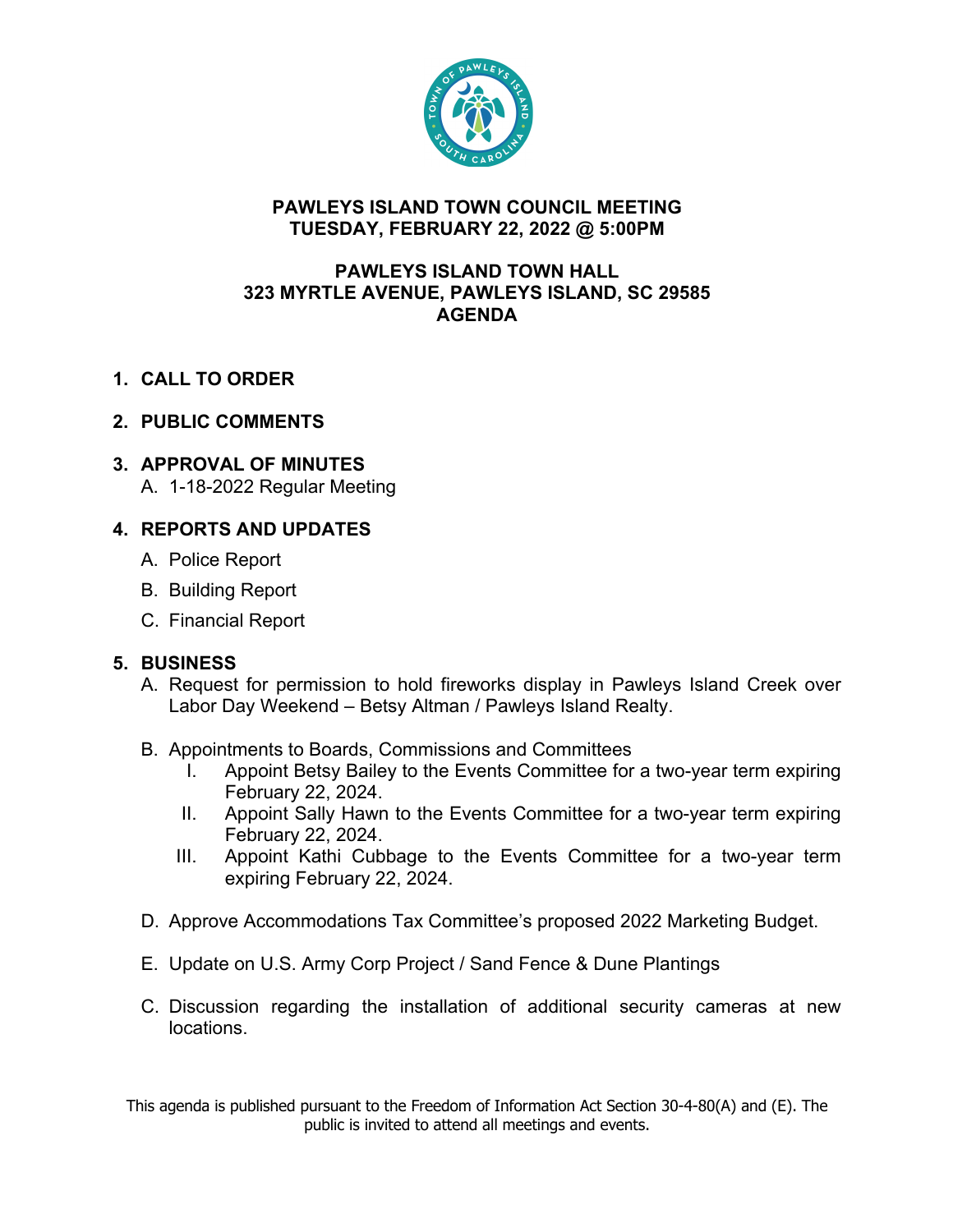

#### **PAWLEYS ISLAND TOWN COUNCIL MEETING TUESDAY, FEBRUARY 22, 2022 @ 5:00PM**

#### **PAWLEYS ISLAND TOWN HALL 323 MYRTLE AVENUE, PAWLEYS ISLAND, SC 29585 AGENDA**

**1. CALL TO ORDER**

# **2. PUBLIC COMMENTS**

## **3. APPROVAL OF MINUTES**

A. 1-18-2022 Regular Meeting

## **4. REPORTS AND UPDATES**

- A. Police Report
- B. Building Report
- C. Financial Report

## **5. BUSINESS**

- A. Request for permission to hold fireworks display in Pawleys Island Creek over Labor Day Weekend – Betsy Altman / Pawleys Island Realty.
- B. Appointments to Boards, Commissions and Committees
	- I. Appoint Betsy Bailey to the Events Committee for a two-year term expiring February 22, 2024.
	- II. Appoint Sally Hawn to the Events Committee for a two-year term expiring February 22, 2024.
	- III. Appoint Kathi Cubbage to the Events Committee for a two-year term expiring February 22, 2024.
- D. Approve Accommodations Tax Committee's proposed 2022 Marketing Budget.
- E. Update on U.S. Army Corp Project / Sand Fence & Dune Plantings
- C. Discussion regarding the installation of additional security cameras at new locations.

This agenda is published pursuant to the Freedom of Information Act Section 30-4-80(A) and (E). The public is invited to attend all meetings and events.